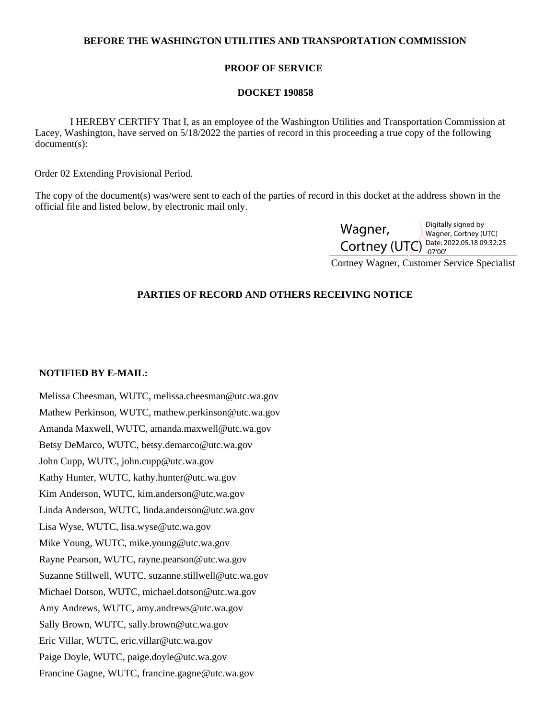## **BEFORE THE WASHINGTON UTILITIES AND TRANSPORTATION COMMISSION**

## **PROOF OF SERVICE**

#### **DOCKET 190858**

 I HEREBY CERTIFY That I, as an employee of the Washington Utilities and Transportation Commission at Lacey, Washington, have served on 5/18/2022 the parties of record in this proceeding a true copy of the following document(s):

Order 02 Extending Provisional Period.

The copy of the document(s) was/were sent to each of the parties of record in this docket at the address shown in the official file and listed below, by electronic mail only.

| Wagner,                                 | Digitally signed by<br>Wagner, Cortney (UTC) |
|-----------------------------------------|----------------------------------------------|
| Cortney (UTC) Date: 2022.05.18 09:32:25 |                                              |

Cortney Wagner, Customer Service Specialist

# **PARTIES OF RECORD AND OTHERS RECEIVING NOTICE**

## **NOTIFIED BY E-MAIL:**

Melissa Cheesman, WUTC, melissa.cheesman@utc.wa.gov Mathew Perkinson, WUTC, mathew.perkinson@utc.wa.gov Amanda Maxwell, WUTC, amanda.maxwell@utc.wa.gov Betsy DeMarco, WUTC, betsy.demarco@utc.wa.gov John Cupp, WUTC, john.cupp@utc.wa.gov Kathy Hunter, WUTC, kathy.hunter@utc.wa.gov Kim Anderson, WUTC, kim.anderson@utc.wa.gov Linda Anderson, WUTC, linda.anderson@utc.wa.gov Lisa Wyse, WUTC, lisa.wyse@utc.wa.gov Mike Young, WUTC, mike.young@utc.wa.gov Rayne Pearson, WUTC, rayne.pearson@utc.wa.gov Suzanne Stillwell, WUTC, suzanne.stillwell@utc.wa.gov Michael Dotson, WUTC, michael.dotson@utc.wa.gov Amy Andrews, WUTC, amy.andrews@utc.wa.gov Sally Brown, WUTC, sally.brown@utc.wa.gov Eric Villar, WUTC, eric.villar@utc.wa.gov Paige Doyle, WUTC, paige.doyle@utc.wa.gov Francine Gagne, WUTC, francine.gagne@utc.wa.gov